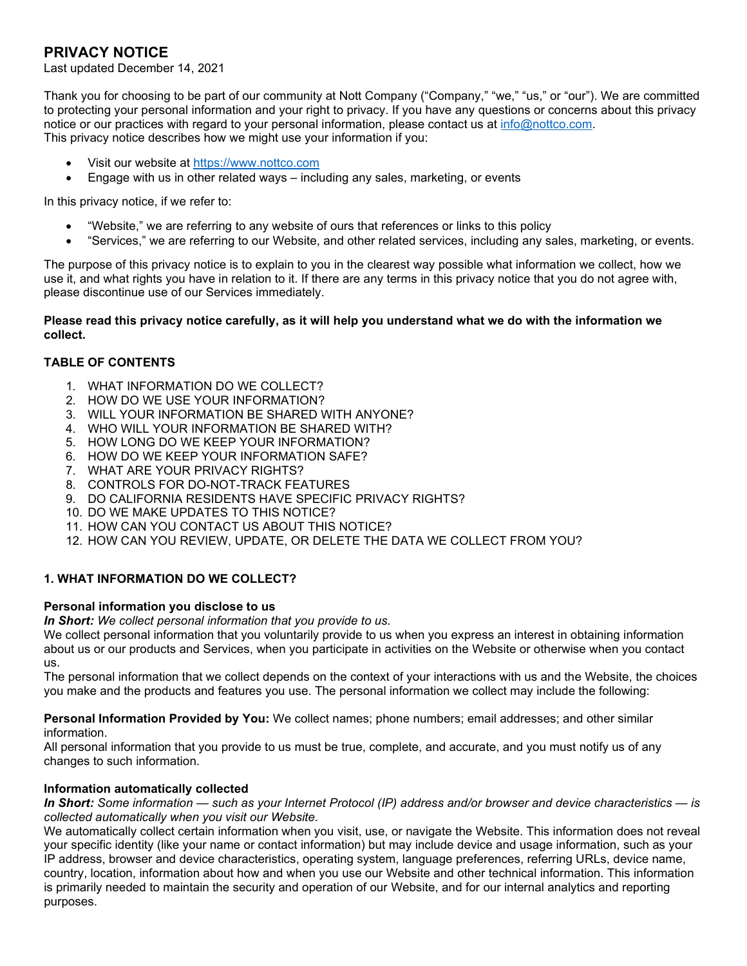# **PRIVACY NOTICE**

Last updated December 14, 2021

Thank you for choosing to be part of our community at Nott Company ("Company," "we," "us," or "our"). We are committed to protecting your personal information and your right to privacy. If you have any questions or concerns about this privacy notice or our practices with regard to your personal information, please contact us at [info@nottco.com.](mailto:info@nottco.com) This privacy notice describes how we might use your information if you:

- Visit our website at [https://www.nottco.com](https://www.nottco.com/)
- Engage with us in other related ways including any sales, marketing, or events

In this privacy notice, if we refer to:

- "Website," we are referring to any website of ours that references or links to this policy
- "Services," we are referring to our Website, and other related services, including any sales, marketing, or events.

The purpose of this privacy notice is to explain to you in the clearest way possible what information we collect, how we use it, and what rights you have in relation to it. If there are any terms in this privacy notice that you do not agree with, please discontinue use of our Services immediately.

#### **Please read this privacy notice carefully, as it will help you understand what we do with the information we collect.**

## **TABLE OF CONTENTS**

- 1. WHAT INFORMATION DO WE COLLECT?
- 2. HOW DO WE USE YOUR INFORMATION?
- 3. WILL YOUR INFORMATION BE SHARED WITH ANYONE?
- 4. WHO WILL YOUR INFORMATION BE SHARED WITH?
- 5. HOW LONG DO WE KEEP YOUR INFORMATION?
- 6. HOW DO WE KEEP YOUR INFORMATION SAFE?
- 7. WHAT ARE YOUR PRIVACY RIGHTS?
- 8. CONTROLS FOR DO-NOT-TRACK FEATURES
- 9. DO CALIFORNIA RESIDENTS HAVE SPECIFIC PRIVACY RIGHTS?
- 10. DO WE MAKE UPDATES TO THIS NOTICE?
- 11. HOW CAN YOU CONTACT US ABOUT THIS NOTICE?
- 12. HOW CAN YOU REVIEW, UPDATE, OR DELETE THE DATA WE COLLECT FROM YOU?

## **1. WHAT INFORMATION DO WE COLLECT?**

#### **Personal information you disclose to us**

*In Short: We collect personal information that you provide to us.*

We collect personal information that you voluntarily provide to us when you express an interest in obtaining information about us or our products and Services, when you participate in activities on the Website or otherwise when you contact us.

The personal information that we collect depends on the context of your interactions with us and the Website, the choices you make and the products and features you use. The personal information we collect may include the following:

**Personal Information Provided by You:** We collect names; phone numbers; email addresses; and other similar information.

All personal information that you provide to us must be true, complete, and accurate, and you must notify us of any changes to such information.

#### **Information automatically collected**

*In Short: Some information — such as your Internet Protocol (IP) address and/or browser and device characteristics — is collected automatically when you visit our Website.*

We automatically collect certain information when you visit, use, or navigate the Website. This information does not reveal your specific identity (like your name or contact information) but may include device and usage information, such as your IP address, browser and device characteristics, operating system, language preferences, referring URLs, device name, country, location, information about how and when you use our Website and other technical information. This information is primarily needed to maintain the security and operation of our Website, and for our internal analytics and reporting purposes.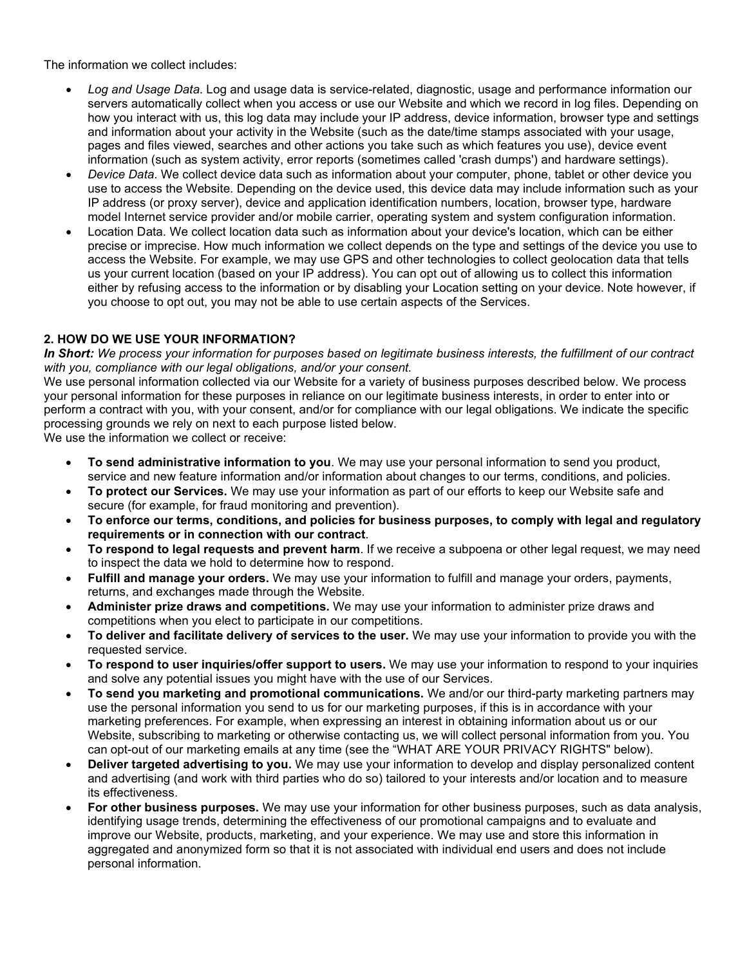The information we collect includes:

- *Log and Usage Data*. Log and usage data is service-related, diagnostic, usage and performance information our servers automatically collect when you access or use our Website and which we record in log files. Depending on how you interact with us, this log data may include your IP address, device information, browser type and settings and information about your activity in the Website (such as the date/time stamps associated with your usage, pages and files viewed, searches and other actions you take such as which features you use), device event information (such as system activity, error reports (sometimes called 'crash dumps') and hardware settings).
- *Device Data*. We collect device data such as information about your computer, phone, tablet or other device you use to access the Website. Depending on the device used, this device data may include information such as your IP address (or proxy server), device and application identification numbers, location, browser type, hardware model Internet service provider and/or mobile carrier, operating system and system configuration information.
- Location Data. We collect location data such as information about your device's location, which can be either precise or imprecise. How much information we collect depends on the type and settings of the device you use to access the Website. For example, we may use GPS and other technologies to collect geolocation data that tells us your current location (based on your IP address). You can opt out of allowing us to collect this information either by refusing access to the information or by disabling your Location setting on your device. Note however, if you choose to opt out, you may not be able to use certain aspects of the Services.

# **2. HOW DO WE USE YOUR INFORMATION?**

*In Short: We process your information for purposes based on legitimate business interests, the fulfillment of our contract with you, compliance with our legal obligations, and/or your consent.*

We use personal information collected via our Website for a variety of business purposes described below. We process your personal information for these purposes in reliance on our legitimate business interests, in order to enter into or perform a contract with you, with your consent, and/or for compliance with our legal obligations. We indicate the specific processing grounds we rely on next to each purpose listed below.

We use the information we collect or receive:

- **To send administrative information to you**. We may use your personal information to send you product, service and new feature information and/or information about changes to our terms, conditions, and policies.
- **To protect our Services.** We may use your information as part of our efforts to keep our Website safe and secure (for example, for fraud monitoring and prevention).
- **To enforce our terms, conditions, and policies for business purposes, to comply with legal and regulatory requirements or in connection with our contract**.
- **To respond to legal requests and prevent harm**. If we receive a subpoena or other legal request, we may need to inspect the data we hold to determine how to respond.
- **Fulfill and manage your orders.** We may use your information to fulfill and manage your orders, payments, returns, and exchanges made through the Website.
- **Administer prize draws and competitions.** We may use your information to administer prize draws and competitions when you elect to participate in our competitions.
- **To deliver and facilitate delivery of services to the user.** We may use your information to provide you with the requested service.
- **To respond to user inquiries/offer support to users.** We may use your information to respond to your inquiries and solve any potential issues you might have with the use of our Services.
- **To send you marketing and promotional communications.** We and/or our third-party marketing partners may use the personal information you send to us for our marketing purposes, if this is in accordance with your marketing preferences. For example, when expressing an interest in obtaining information about us or our Website, subscribing to marketing or otherwise contacting us, we will collect personal information from you. You can opt-out of our marketing emails at any time (see the "WHAT ARE YOUR PRIVACY RIGHTS" below).
- **Deliver targeted advertising to you.** We may use your information to develop and display personalized content and advertising (and work with third parties who do so) tailored to your interests and/or location and to measure its effectiveness.
- **For other business purposes.** We may use your information for other business purposes, such as data analysis, identifying usage trends, determining the effectiveness of our promotional campaigns and to evaluate and improve our Website, products, marketing, and your experience. We may use and store this information in aggregated and anonymized form so that it is not associated with individual end users and does not include personal information.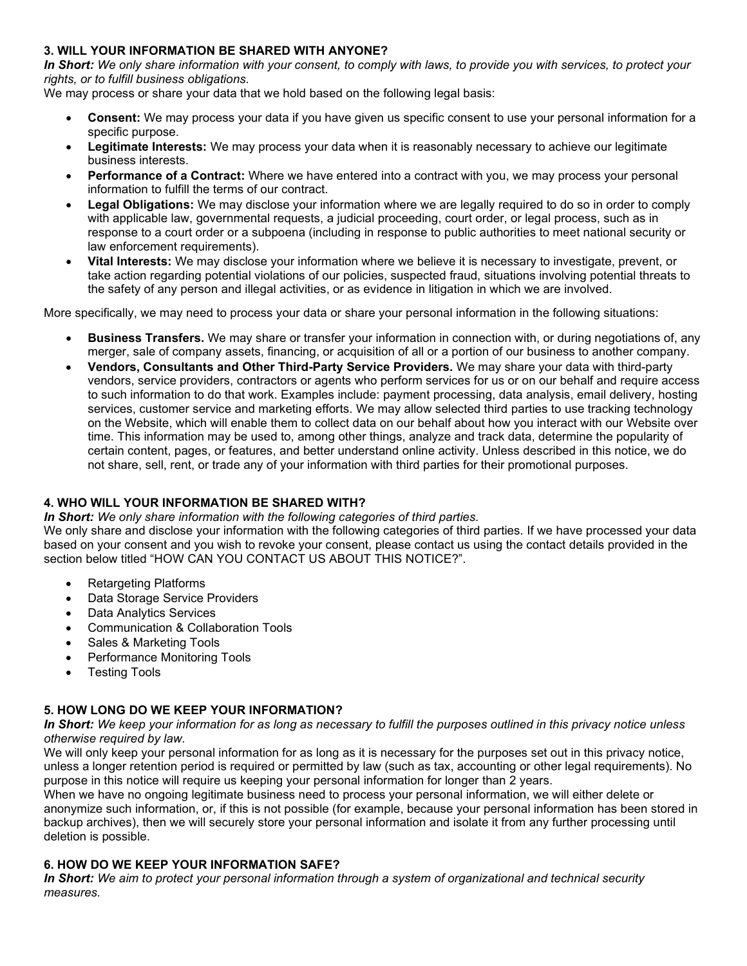## **3. WILL YOUR INFORMATION BE SHARED WITH ANYONE?**

*In Short: We only share information with your consent, to comply with laws, to provide you with services, to protect your rights, or to fulfill business obligations.*

We may process or share your data that we hold based on the following legal basis:

- **Consent:** We may process your data if you have given us specific consent to use your personal information for a specific purpose.
- **Legitimate Interests:** We may process your data when it is reasonably necessary to achieve our legitimate business interests.
- **Performance of a Contract:** Where we have entered into a contract with you, we may process your personal information to fulfill the terms of our contract.
- **Legal Obligations:** We may disclose your information where we are legally required to do so in order to comply with applicable law, governmental requests, a judicial proceeding, court order, or legal process, such as in response to a court order or a subpoena (including in response to public authorities to meet national security or law enforcement requirements).
- **Vital Interests:** We may disclose your information where we believe it is necessary to investigate, prevent, or take action regarding potential violations of our policies, suspected fraud, situations involving potential threats to the safety of any person and illegal activities, or as evidence in litigation in which we are involved.

More specifically, we may need to process your data or share your personal information in the following situations:

- **Business Transfers.** We may share or transfer your information in connection with, or during negotiations of, any merger, sale of company assets, financing, or acquisition of all or a portion of our business to another company.
- **Vendors, Consultants and Other Third-Party Service Providers.** We may share your data with third-party vendors, service providers, contractors or agents who perform services for us or on our behalf and require access to such information to do that work. Examples include: payment processing, data analysis, email delivery, hosting services, customer service and marketing efforts. We may allow selected third parties to use tracking technology on the Website, which will enable them to collect data on our behalf about how you interact with our Website over time. This information may be used to, among other things, analyze and track data, determine the popularity of certain content, pages, or features, and better understand online activity. Unless described in this notice, we do not share, sell, rent, or trade any of your information with third parties for their promotional purposes.

## **4. WHO WILL YOUR INFORMATION BE SHARED WITH?**

*In Short: We only share information with the following categories of third parties.*

We only share and disclose your information with the following categories of third parties. If we have processed your data based on your consent and you wish to revoke your consent, please contact us using the contact details provided in the section below titled "HOW CAN YOU CONTACT US ABOUT THIS NOTICE?".

- Retargeting Platforms
- Data Storage Service Providers
- Data Analytics Services
- Communication & Collaboration Tools
- Sales & Marketing Tools
- Performance Monitoring Tools
- Testing Tools

## **5. HOW LONG DO WE KEEP YOUR INFORMATION?**

*In Short: We keep your information for as long as necessary to fulfill the purposes outlined in this privacy notice unless otherwise required by law.*

We will only keep your personal information for as long as it is necessary for the purposes set out in this privacy notice, unless a longer retention period is required or permitted by law (such as tax, accounting or other legal requirements). No purpose in this notice will require us keeping your personal information for longer than 2 years.

When we have no ongoing legitimate business need to process your personal information, we will either delete or anonymize such information, or, if this is not possible (for example, because your personal information has been stored in backup archives), then we will securely store your personal information and isolate it from any further processing until deletion is possible.

#### **6. HOW DO WE KEEP YOUR INFORMATION SAFE?**

*In Short: We aim to protect your personal information through a system of organizational and technical security measures.*